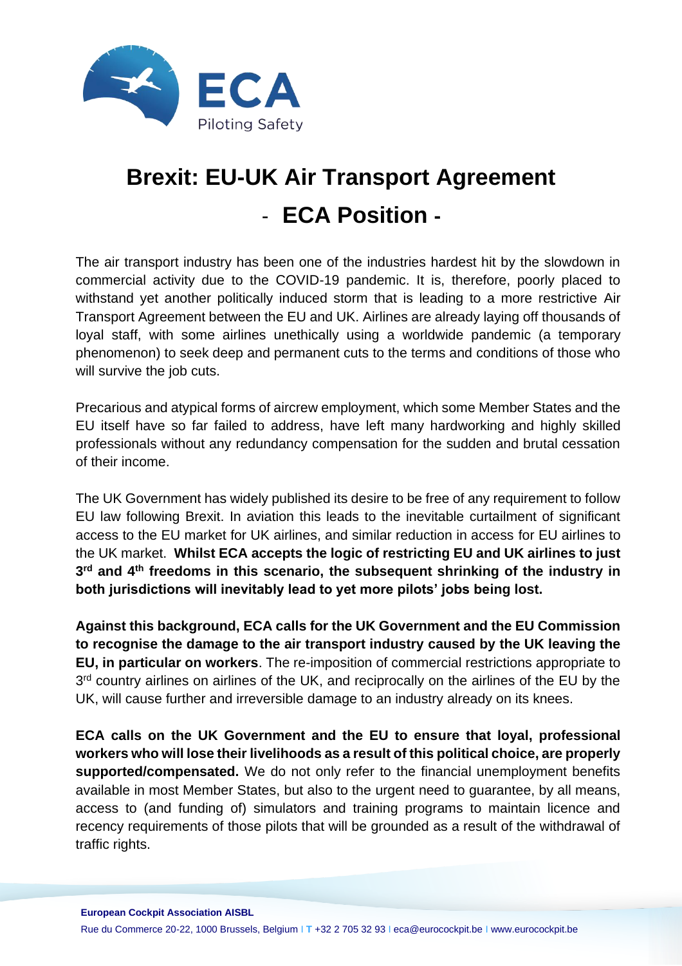

# **Brexit: EU-UK Air Transport Agreement** - **ECA Position -**

The air transport industry has been one of the industries hardest hit by the slowdown in commercial activity due to the COVID-19 pandemic. It is, therefore, poorly placed to withstand yet another politically induced storm that is leading to a more restrictive Air Transport Agreement between the EU and UK. Airlines are already laying off thousands of loyal staff, with some airlines unethically using a worldwide pandemic (a temporary phenomenon) to seek deep and permanent cuts to the terms and conditions of those who will survive the job cuts.

Precarious and atypical forms of aircrew employment, which some Member States and the EU itself have so far failed to address, have left many hardworking and highly skilled professionals without any redundancy compensation for the sudden and brutal cessation of their income.

The UK Government has widely published its desire to be free of any requirement to follow EU law following Brexit. In aviation this leads to the inevitable curtailment of significant access to the EU market for UK airlines, and similar reduction in access for EU airlines to the UK market. **Whilst ECA accepts the logic of restricting EU and UK airlines to just 3 rd and 4th freedoms in this scenario, the subsequent shrinking of the industry in both jurisdictions will inevitably lead to yet more pilots' jobs being lost.**

**Against this background, ECA calls for the UK Government and the EU Commission to recognise the damage to the air transport industry caused by the UK leaving the EU, in particular on workers**. The re-imposition of commercial restrictions appropriate to 3<sup>rd</sup> country airlines on airlines of the UK, and reciprocally on the airlines of the EU by the UK, will cause further and irreversible damage to an industry already on its knees.

**ECA calls on the UK Government and the EU to ensure that loyal, professional workers who will lose their livelihoods as a result of this political choice, are properly supported/compensated.** We do not only refer to the financial unemployment benefits available in most Member States, but also to the urgent need to guarantee, by all means, access to (and funding of) simulators and training programs to maintain licence and recency requirements of those pilots that will be grounded as a result of the withdrawal of traffic rights.

**European Cockpit Association AISBL**

Rue du Commerce 20-22, 1000 Brussels, Belgium I **T** +32 2 705 32 93 I eca@eurocockpit.be I www.eurocockpit.be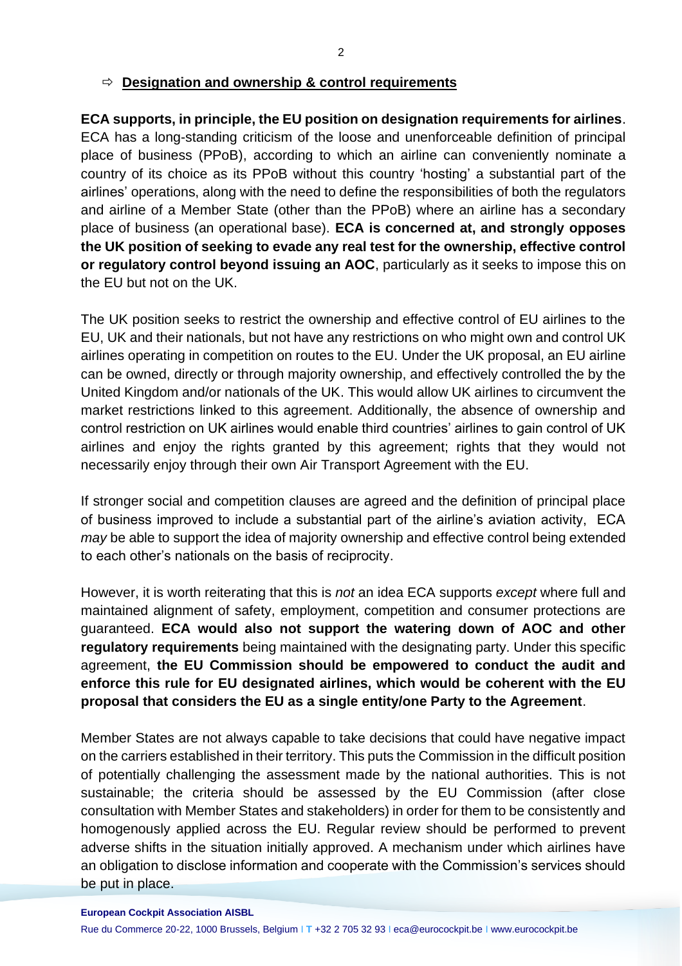#### **Designation and ownership & control requirements**

**ECA supports, in principle, the EU position on designation requirements for airlines**. ECA has a long-standing criticism of the loose and unenforceable definition of principal place of business (PPoB), according to which an airline can conveniently nominate a country of its choice as its PPoB without this country 'hosting' a substantial part of the airlines' operations, along with the need to define the responsibilities of both the regulators and airline of a Member State (other than the PPoB) where an airline has a secondary place of business (an operational base). **ECA is concerned at, and strongly opposes the UK position of seeking to evade any real test for the ownership, effective control or regulatory control beyond issuing an AOC**, particularly as it seeks to impose this on the EU but not on the UK.

The UK position seeks to restrict the ownership and effective control of EU airlines to the EU, UK and their nationals, but not have any restrictions on who might own and control UK airlines operating in competition on routes to the EU. Under the UK proposal, an EU airline can be owned, directly or through majority ownership, and effectively controlled the by the United Kingdom and/or nationals of the UK. This would allow UK airlines to circumvent the market restrictions linked to this agreement. Additionally, the absence of ownership and control restriction on UK airlines would enable third countries' airlines to gain control of UK airlines and enjoy the rights granted by this agreement; rights that they would not necessarily enjoy through their own Air Transport Agreement with the EU.

If stronger social and competition clauses are agreed and the definition of principal place of business improved to include a substantial part of the airline's aviation activity, ECA *may* be able to support the idea of majority ownership and effective control being extended to each other's nationals on the basis of reciprocity.

However, it is worth reiterating that this is *not* an idea ECA supports *except* where full and maintained alignment of safety, employment, competition and consumer protections are guaranteed. **ECA would also not support the watering down of AOC and other regulatory requirements** being maintained with the designating party. Under this specific agreement, **the EU Commission should be empowered to conduct the audit and enforce this rule for EU designated airlines, which would be coherent with the EU proposal that considers the EU as a single entity/one Party to the Agreement**.

Member States are not always capable to take decisions that could have negative impact on the carriers established in their territory. This puts the Commission in the difficult position of potentially challenging the assessment made by the national authorities. This is not sustainable; the criteria should be assessed by the EU Commission (after close consultation with Member States and stakeholders) in order for them to be consistently and homogenously applied across the EU. Regular review should be performed to prevent adverse shifts in the situation initially approved. A mechanism under which airlines have an obligation to disclose information and cooperate with the Commission's services should be put in place.

**European Cockpit Association AISBL**

Rue du Commerce 20-22, 1000 Brussels, Belgium I **T** +32 2 705 32 93 I eca@eurocockpit.be I www.eurocockpit.be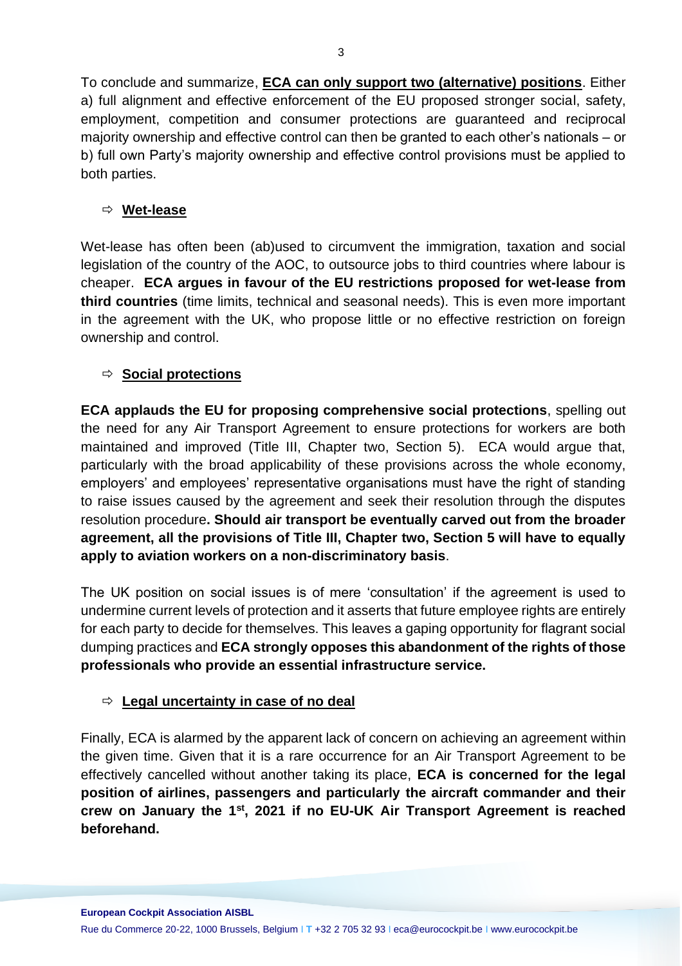To conclude and summarize, **ECA can only support two (alternative) positions**. Either a) full alignment and effective enforcement of the EU proposed stronger social, safety, employment, competition and consumer protections are guaranteed and reciprocal majority ownership and effective control can then be granted to each other's nationals – or b) full own Party's majority ownership and effective control provisions must be applied to both parties.

#### **Wet-lease**

Wet-lease has often been (ab)used to circumvent the immigration, taxation and social legislation of the country of the AOC, to outsource jobs to third countries where labour is cheaper. **ECA argues in favour of the EU restrictions proposed for wet-lease from third countries** (time limits, technical and seasonal needs). This is even more important in the agreement with the UK, who propose little or no effective restriction on foreign ownership and control.

# **Social protections**

**ECA applauds the EU for proposing comprehensive social protections**, spelling out the need for any Air Transport Agreement to ensure protections for workers are both maintained and improved (Title III, Chapter two, Section 5). ECA would argue that, particularly with the broad applicability of these provisions across the whole economy, employers' and employees' representative organisations must have the right of standing to raise issues caused by the agreement and seek their resolution through the disputes resolution procedure**. Should air transport be eventually carved out from the broader agreement, all the provisions of Title III, Chapter two, Section 5 will have to equally apply to aviation workers on a non-discriminatory basis**.

The UK position on social issues is of mere 'consultation' if the agreement is used to undermine current levels of protection and it asserts that future employee rights are entirely for each party to decide for themselves. This leaves a gaping opportunity for flagrant social dumping practices and **ECA strongly opposes this abandonment of the rights of those professionals who provide an essential infrastructure service.**

# **Legal uncertainty in case of no deal**

Finally, ECA is alarmed by the apparent lack of concern on achieving an agreement within the given time. Given that it is a rare occurrence for an Air Transport Agreement to be effectively cancelled without another taking its place, **ECA is concerned for the legal position of airlines, passengers and particularly the aircraft commander and their crew on January the 1st, 2021 if no EU-UK Air Transport Agreement is reached beforehand.**